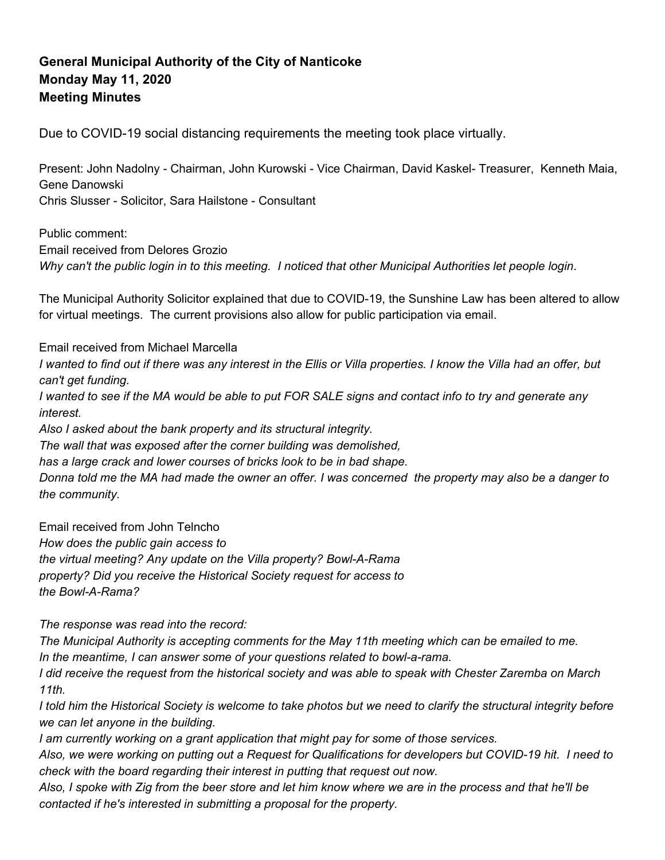## **General Municipal Authority of the City of Nanticoke Monday May 11, 2020 Meeting Minutes**

Due to COVID-19 social distancing requirements the meeting took place virtually.

Present: John Nadolny - Chairman, John Kurowski - Vice Chairman, David Kaskel- Treasurer, Kenneth Maia, Gene Danowski Chris Slusser - Solicitor, Sara Hailstone - Consultant

Public comment: Email received from Delores Grozio Why can't the public login in to this meeting. I noticed that other Municipal Authorities let people login.

The Municipal Authority Solicitor explained that due to COVID-19, the Sunshine Law has been altered to allow for virtual meetings. The current provisions also allow for public participation via email.

Email received from Michael Marcella

I wanted to find out if there was any interest in the Ellis or Villa properties. I know the Villa had an offer, but *can't get funding.*

I wanted to see if the MA would be able to put FOR SALE signs and contact info to try and generate any *interest.*

*Also I asked about the bank property and its structural integrity.*

*The wall that was exposed after the corner building was demolished,*

*has a large crack and lower courses of bricks look to be in bad shape.*

Donna told me the MA had made the owner an offer. I was concerned the property may also be a danger to *the community.*

Email received from John Telncho

*How does the public gain access to*

*the virtual meeting? Any update on the Villa property? Bowl-A-Rama*

*property? Did you receive the Historical Society request for access to*

*the Bowl-A-Rama?*

*The response was read into the record:*

*The Municipal Authority is accepting comments for the May 11th meeting which can be emailed to me. In the meantime, I can answer some of your questions related to bowl-a-rama.*

I did receive the request from the historical society and was able to speak with Chester Zaremba on March *11th.*

I told him the Historical Society is welcome to take photos but we need to clarify the structural integrity before *we can let anyone in the building.*

*I am currently working on a grant application that might pay for some of those services.*

Also, we were working on putting out a Request for Qualifications for developers but COVID-19 hit. I need to *check with the board regarding their interest in putting that request out now.*

Also, I spoke with Zig from the beer store and let him know where we are in the process and that he'll be *contacted if he's interested in submitting a proposal for the property.*